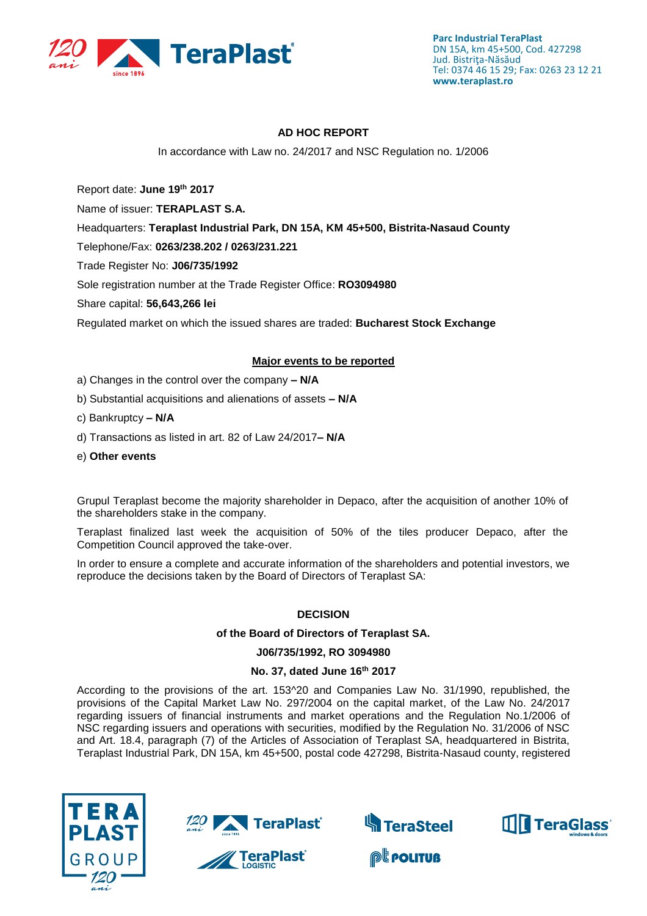

# **AD HOC REPORT**

In accordance with Law no. 24/2017 and NSC Regulation no. 1/2006

Report date: **June 19th 2017**

Name of issuer: **TERAPLAST S.A.** 

Headquarters: **Teraplast Industrial Park, DN 15A, KM 45+500, Bistrita-Nasaud County**

Telephone/Fax: **0263/238.202 / 0263/231.221**

Trade Register No: **J06/735/1992**

Sole registration number at the Trade Register Office: **RO3094980**

Share capital: **56,643,266 lei** 

Regulated market on which the issued shares are traded: **Bucharest Stock Exchange**

## **Major events to be reported**

- a) Changes in the control over the company **– N/A**
- b) Substantial acquisitions and alienations of assets **– N/A**
- c) Bankruptcy **– N/A**
- d) Transactions as listed in art. 82 of Law 24/2017**– N/A**
- e) **Other events**

Grupul Teraplast become the majority shareholder in Depaco, after the acquisition of another 10% of the shareholders stake in the company.

Teraplast finalized last week the acquisition of 50% of the tiles producer Depaco, after the Competition Council approved the take-over.

In order to ensure a complete and accurate information of the shareholders and potential investors, we reproduce the decisions taken by the Board of Directors of Teraplast SA:

## **DECISION**

## **of the Board of Directors of Teraplast SA.**

#### **J06/735/1992, RO 3094980**

### **No. 37, dated June 16th 2017**

According to the provisions of the art. 153^20 and Companies Law No. 31/1990, republished, the provisions of the Capital Market Law No. 297/2004 on the capital market, of the Law No. 24/2017 regarding issuers of financial instruments and market operations and the Regulation No.1/2006 of NSC regarding issuers and operations with securities, modified by the Regulation No. 31/2006 of NSC and Art. 18.4, paragraph (7) of the Articles of Association of Teraplast SA, headquartered in Bistrita, Teraplast Industrial Park, DN 15A, km 45+500, postal code 427298, Bistrita-Nasaud county, registered





**TeraPlast<sup>®</sup>**